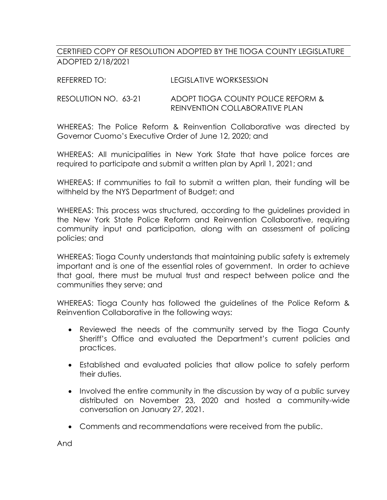## CERTIFIED COPY OF RESOLUTION ADOPTED BY THE TIOGA COUNTY LEGISLATURE ADOPTED 2/18/2021

## RESOLUTION NO. 63-21 ADOPT TIOGA COUNTY POLICE REFORM & REINVENTION COLLABORATIVE PLAN

WHEREAS: The Police Reform & Reinvention Collaborative was directed by Governor Cuomo's Executive Order of June 12, 2020; and

WHEREAS: All municipalities in New York State that have police forces are required to participate and submit a written plan by April 1, 2021; and

WHEREAS: If communities to fail to submit a written plan, their funding will be withheld by the NYS Department of Budget; and

WHEREAS: This process was structured, according to the guidelines provided in the New York State Police Reform and Reinvention Collaborative, requiring community input and participation, along with an assessment of policing policies; and

WHEREAS: Tioga County understands that maintaining public safety is extremely important and is one of the essential roles of government. In order to achieve that goal, there must be mutual trust and respect between police and the communities they serve; and

WHEREAS: Tioga County has followed the guidelines of the Police Reform & Reinvention Collaborative in the following ways:

- Reviewed the needs of the community served by the Tioga County Sheriff's Office and evaluated the Department's current policies and practices.
- Established and evaluated policies that allow police to safely perform their duties.
- Involved the entire community in the discussion by way of a public survey distributed on November 23, 2020 and hosted a community-wide conversation on January 27, 2021.
- Comments and recommendations were received from the public.

And